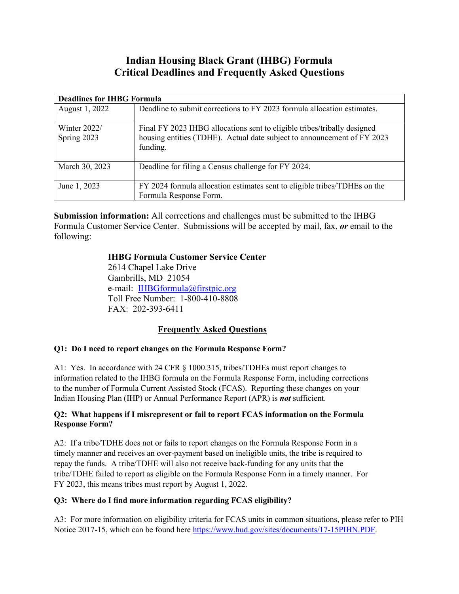# **Indian Housing Black Grant (IHBG) Formula Critical Deadlines and Frequently Asked Questions**

| <b>Deadlines for IHBG Formula</b> |                                                                                                                                                                 |
|-----------------------------------|-----------------------------------------------------------------------------------------------------------------------------------------------------------------|
| August 1, 2022                    | Deadline to submit corrections to FY 2023 formula allocation estimates.                                                                                         |
| Winter $2022/$<br>Spring 2023     | Final FY 2023 IHBG allocations sent to eligible tribes/tribally designed<br>housing entities (TDHE). Actual date subject to announcement of FY 2023<br>funding. |
| March 30, 2023                    | Deadline for filing a Census challenge for FY 2024.                                                                                                             |
| June 1, 2023                      | FY 2024 formula allocation estimates sent to eligible tribes/TDHEs on the<br>Formula Response Form.                                                             |

**Submission information:** All corrections and challenges must be submitted to the IHBG Formula Customer Service Center. Submissions will be accepted by mail, fax, *or* email to the following:

# **IHBG Formula Customer Service Center**

2614 Chapel Lake Drive Gambrills, MD 21054 e-mail: [IHBGformula@firstpic.org](mailto:IHBGformula@firstpic.org) Toll Free Number: 1-800-410-8808 FAX: 202-393-6411

# **Frequently Asked Questions**

## **Q1: Do I need to report changes on the Formula Response Form?**

A1: Yes. In accordance with 24 CFR § 1000.315, tribes/TDHEs must report changes to information related to the IHBG formula on the Formula Response Form, including corrections to the number of Formula Current Assisted Stock (FCAS). Reporting these changes on your Indian Housing Plan (IHP) or Annual Performance Report (APR) is *not* sufficient.

## **Q2: What happens if I misrepresent or fail to report FCAS information on the Formula Response Form?**

A2: If a tribe/TDHE does not or fails to report changes on the Formula Response Form in a timely manner and receives an over-payment based on ineligible units, the tribe is required to repay the funds. A tribe/TDHE will also not receive back-funding for any units that the tribe/TDHE failed to report as eligible on the Formula Response Form in a timely manner. For FY 2023, this means tribes must report by August 1, 2022.

## **Q3: Where do I find more information regarding FCAS eligibility?**

A3: For more information on eligibility criteria for FCAS units in common situations, please refer to PIH Notice 2017-15, which can be found here [https://www.hud.gov/sites/documents/17-15PIHN.PDF.](https://www.hud.gov/sites/documents/17-15PIHN.PDF)